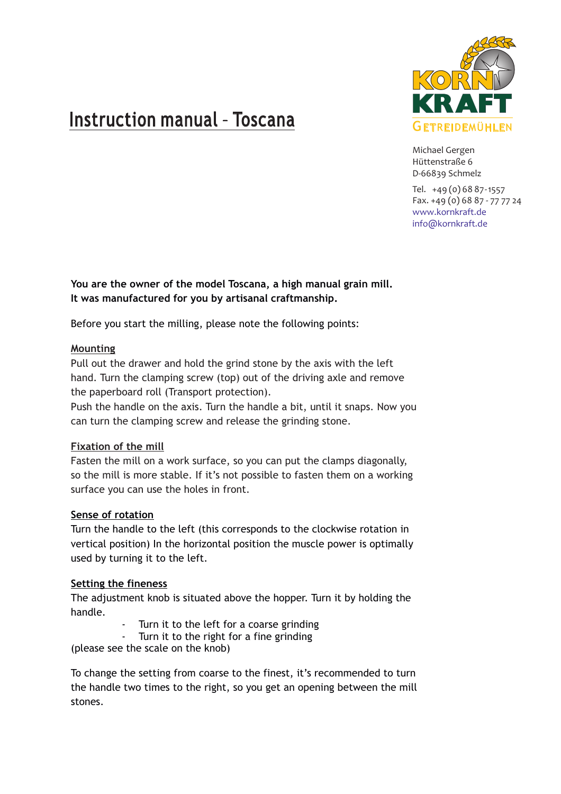# Instruction manual - Toscana



Michael Gergen Hüttenstraße 6 D-66839 Schmelz

Tel. +49 (0) 68 87-1557 Fax. +49 (0) 68 87 - 77 77 24 www.kornkraft.de info@kornkraft.de

**You are the owner of the model Toscana, a high manual grain mill. It was manufactured for you by artisanal craftmanship.**

Before you start the milling, please note the following points:

# **Mounting**

Pull out the drawer and hold the grind stone by the axis with the left hand. Turn the clamping screw (top) out of the driving axle and remove the paperboard roll (Transport protection).

Push the handle on the axis. Turn the handle a bit, until it snaps. Now you can turn the clamping screw and release the grinding stone.

# **Fixation of the mill**

Fasten the mill on a work surface, so you can put the clamps diagonally, so the mill is more stable. If it's not possible to fasten them on a working surface you can use the holes in front.

# **Sense of rotation**

Turn the handle to the left (this corresponds to the clockwise rotation in vertical position) In the horizontal position the muscle power is optimally used by turning it to the left.

# **Setting the fineness**

The adjustment knob is situated above the hopper. Turn it by holding the handle.

- Turn it to the left for a coarse grinding
- Turn it to the right for a fine grinding

(please see the scale on the knob)

To change the setting from coarse to the finest, it's recommended to turn the handle two times to the right, so you get an opening between the mill stones.